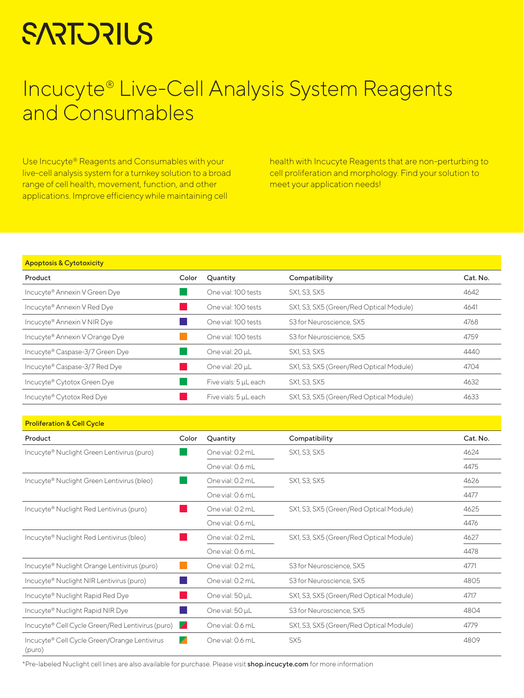# **SARTORIUS**

## Incucyte® Live-Cell Analysis System Reagents and Consumables

Use Incucyte® Reagents and Consumables with your live-cell analysis system for a turnkey solution to a broad range of cell health, movement, function, and other applications. Improve efficiency while maintaining cell

health with Incucyte Reagents that are non-perturbing to cell proliferation and morphology. Find your solution to meet your application needs!

## Apoptosis & Cytotoxicity

| Color | Quantity              | Compatibility                           | Cat. No. |
|-------|-----------------------|-----------------------------------------|----------|
|       | One vial: 100 tests   | SX1, S3, SX5                            | 4642     |
|       | One vial: 100 tests   | SX1, S3, SX5 (Green/Red Optical Module) | 4641     |
|       | One vial: 100 tests   | S3 for Neuroscience, SX5                | 4768     |
|       | One vial: 100 tests   | S3 for Neuroscience, SX5                | 4759     |
|       | One vial: 20 µL       | SX1, S3, SX5                            | 4440     |
|       | One vial: 20 uL       | SX1, S3, SX5 (Green/Red Optical Module) | 4704     |
|       | Five vials: 5 µL each | SX1, S3, SX5                            | 4632     |
|       | Five vials: 5 µL each | SX1, S3, SX5 (Green/Red Optical Module) | 4633     |
|       |                       |                                         |          |

| <b>Proliferation &amp; Cell Cycle</b>                   |                       |                  |                                         |          |
|---------------------------------------------------------|-----------------------|------------------|-----------------------------------------|----------|
| Product                                                 | Color                 | Quantity         | Compatibility                           | Cat. No. |
| Incucyte® Nuclight Green Lentivirus (puro)              |                       | One vial: 0.2 mL | SX1, S3, SX5                            | 4624     |
|                                                         |                       | One vial: 0.6 mL |                                         | 4475     |
| Incucyte® Nuclight Green Lentivirus (bleo)              |                       | One vial: 0.2 mL | SX1, S3, SX5                            | 4626     |
|                                                         |                       | One vial: 0.6 mL |                                         | 4477     |
| Incucyte <sup>®</sup> Nuclight Red Lentivirus (puro)    |                       | One vial: 0.2 mL | SX1, S3, SX5 (Green/Red Optical Module) | 4625     |
|                                                         |                       | One vial: 0.6 mL |                                         | 4476     |
| Incucyte <sup>®</sup> Nuclight Red Lentivirus (bleo)    |                       | One vial: 0.2 mL | SX1, S3, SX5 (Green/Red Optical Module) | 4627     |
|                                                         |                       | One vial: 0.6 mL |                                         | 4478     |
| Incucyte <sup>®</sup> Nuclight Orange Lentivirus (puro) |                       | One vial: 0.2 mL | S3 for Neuroscience, SX5                | 4771     |
| Incucyte <sup>®</sup> Nuclight NIR Lentivirus (puro)    |                       | One vial: 0.2 mL | S3 for Neuroscience, SX5                | 4805     |
| Incucyte® Nuclight Rapid Red Dye                        |                       | One vial: 50 µL  | SX1, S3, SX5 (Green/Red Optical Module) | 4717     |
| Incucyte® Nuclight Rapid NIR Dye                        |                       | One vial: 50 µL  | S3 for Neuroscience, SX5                | 4804     |
| Incucyte® Cell Cycle Green/Red Lentivirus (puro)        | $\blacktriangleright$ | One vial: 0.6 mL | SX1, S3, SX5 (Green/Red Optical Module) | 4779     |
| Incucyte® Cell Cycle Green/Orange Lentivirus<br>(puro)  |                       | One vial: 0.6 mL | SX <sub>5</sub>                         | 4809     |

\*Pre-labeled Nuclight cell lines are also available for purchase. Please visit shop.incucyte.com for more information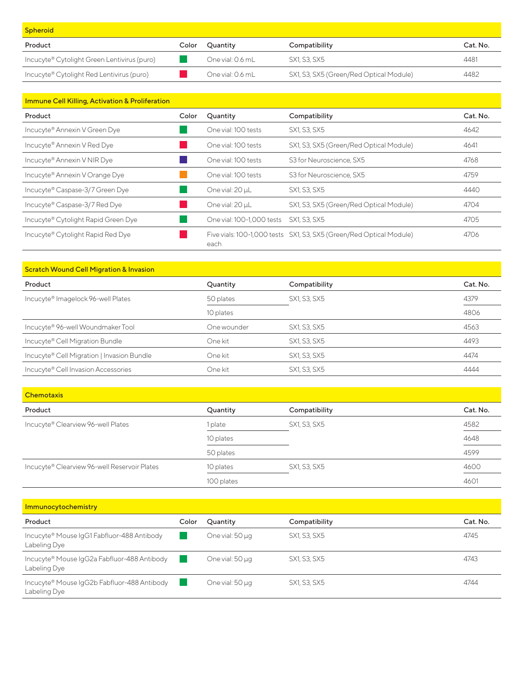| <b>Spheroid</b>                             |       |                  |                                         |          |
|---------------------------------------------|-------|------------------|-----------------------------------------|----------|
| Product                                     | Color | Ouantity         | Compatibility                           | Cat. No. |
| Incucyte® Cytolight Green Lentivirus (puro) |       | One vial: 0.6 mL | SX1, S3, SX5                            | 4481     |
| Incucyte® Cytolight Red Lentivirus (puro)   |       | One vial: 0.6 mL | SX1, S3, SX5 (Green/Red Optical Module) | 4482     |

| <b>Immune Cell Killing, Activation &amp; Proliferation</b> |       |                           |                                                                     |          |
|------------------------------------------------------------|-------|---------------------------|---------------------------------------------------------------------|----------|
| Product                                                    | Color | Quantity                  | Compatibility                                                       | Cat. No. |
| Incucyte® Annexin V Green Dye                              |       | One vial: 100 tests       | SX1, S3, SX5                                                        | 4642     |
| Incucyte® Annexin V Red Dye                                |       | One vial: 100 tests       | SX1, S3, SX5 (Green/Red Optical Module)                             | 4641     |
| Incucyte® Annexin V NIR Dye                                |       | One vial: 100 tests       | S3 for Neuroscience, SX5                                            | 4768     |
| Incucyte® Annexin V Orange Dye                             |       | One vial: 100 tests       | S3 for Neuroscience, SX5                                            | 4759     |
| Incucyte® Caspase-3/7 Green Dye                            |       | One vial: 20 µL           | SX1, S3, SX5                                                        | 4440     |
| Incucyte® Caspase-3/7 Red Dye                              |       | One vial: 20 µL           | SX1, S3, SX5 (Green/Red Optical Module)                             | 4704     |
| Incucyte® Cytolight Rapid Green Dye                        |       | One vial: 100-1,000 tests | SX1, S3, SX5                                                        | 4705     |
| Incucyte <sup>®</sup> Cytolight Rapid Red Dye              |       | each                      | Five vials: 100-1,000 tests SX1, S3, SX5 (Green/Red Optical Module) | 4706     |

| <b>Scratch Wound Cell Migration &amp; Invasion</b> |  |  |
|----------------------------------------------------|--|--|

| Product                                        | Quantity    | Compatibility | Cat. No. |
|------------------------------------------------|-------------|---------------|----------|
| Incucyte <sup>®</sup> Imagelock 96-well Plates | 50 plates   | SX1, S3, SX5  | 4379     |
|                                                | 10 plates   |               | 4806     |
| Incucyte® 96-well Woundmaker Tool              | One wounder | SX1, S3, SX5  | 4563     |
| Incucyte® Cell Migration Bundle                | One kit     | SX1, S3, SX5  | 4493     |
| Incucyte® Cell Migration   Invasion Bundle     | One kit     | SX1, S3, SX5  | 4474     |
| Incucyte® Cell Invasion Accessories            | One kit     | SX1, S3, SX5  | 4444     |

| <b>Chemotaxis</b>                            |            |               |          |
|----------------------------------------------|------------|---------------|----------|
| Product                                      | Quantity   | Compatibility | Cat. No. |
| Incucyte® Clearview 96-well Plates           | 1 plate    | SX1, S3, SX5  | 4582     |
|                                              | 10 plates  |               | 4648     |
|                                              | 50 plates  |               | 4599     |
| Incucyte® Clearview 96-well Reservoir Plates | 10 plates  | SX1, S3, SX5  | 4600     |
|                                              | 100 plates |               | 4601     |

| <b>Immunocytochemistry</b>                                  |       |                 |               |          |
|-------------------------------------------------------------|-------|-----------------|---------------|----------|
| Product                                                     | Color | Quantity        | Compatibility | Cat. No. |
| Incucyte® Mouse IgG1 Fabfluor-488 Antibody<br>Labeling Dye  |       | One vial: 50 µg | SX1, S3, SX5  | 4745     |
| Incucyte® Mouse IgG2a Fabfluor-488 Antibody<br>Labeling Dye |       | One vial: 50 µg | SX1, S3, SX5  | 4743     |
| Incucyte® Mouse IgG2b Fabfluor-488 Antibody<br>Labeling Dye |       | One vial: 50 µg | SX1, S3, SX5  | 4744     |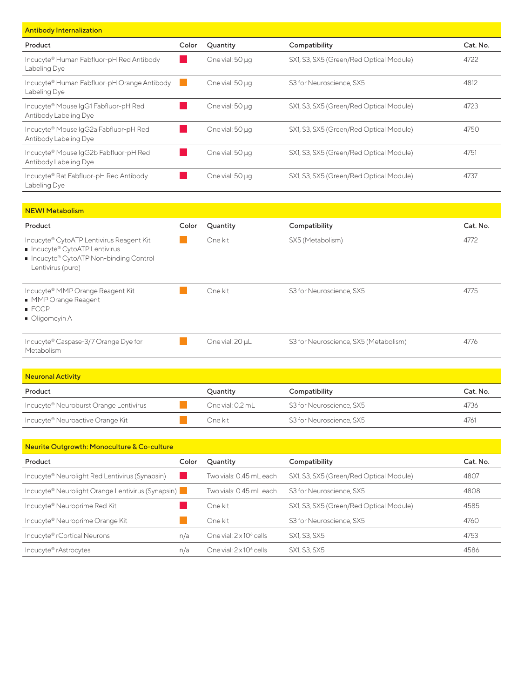| <b>Antibody Internalization</b>                                |       |                 |                                         |          |
|----------------------------------------------------------------|-------|-----------------|-----------------------------------------|----------|
| Product                                                        | Color | Quantity        | Compatibility                           | Cat. No. |
| Incucyte® Human Fabfluor-pH Red Antibody<br>Labeling Dye       |       | One vial: 50 µg | SX1, S3, SX5 (Green/Red Optical Module) | 4722     |
| Incucyte® Human Fabfluor-pH Orange Antibody<br>Labeling Dye    |       | One vial: 50 µg | S3 for Neuroscience, SX5                | 4812     |
| Incucyte® Mouse IgG1 Fabfluor-pH Red<br>Antibody Labeling Dye  |       | One vial: 50 µg | SX1, S3, SX5 (Green/Red Optical Module) | 4723     |
| Incucyte® Mouse IgG2a Fabfluor-pH Red<br>Antibody Labeling Dye |       | One vial: 50 µg | SX1, S3, SX5 (Green/Red Optical Module) | 4750     |
| Incucyte® Mouse IgG2b Fabfluor-pH Red<br>Antibody Labeling Dye |       | One vial: 50 µg | SX1, S3, SX5 (Green/Red Optical Module) | 4751     |
| Incucyte® Rat Fabfluor-pH Red Antibody<br>Labeling Dye         |       | One vial: 50 µg | SX1, S3, SX5 (Green/Red Optical Module) | 4737     |

| <b>NEW! Metabolism</b>                                                                                                                     |       |                 |                                       |          |
|--------------------------------------------------------------------------------------------------------------------------------------------|-------|-----------------|---------------------------------------|----------|
| Product                                                                                                                                    | Color | Quantity        | Compatibility                         | Cat. No. |
| Incucyte® CytoATP Lentivirus Reagent Kit<br>■ Incucyte® CytoATP Lentivirus<br>■ Incucyte® CytoATP Non-binding Control<br>Lentivirus (puro) |       | One kit         | SX5 (Metabolism)                      | 4772     |
| Incucyte® MMP Orange Reagent Kit<br>MMP Orange Reagent<br>$\blacksquare$ FCCP<br>■ Oligomcyin A                                            |       | One kit         | S3 for Neuroscience, SX5              | 4775     |
| Incucyte® Caspase-3/7 Orange Dye for<br>Metabolism                                                                                         |       | One vial: 20 µL | S3 for Neuroscience, SX5 (Metabolism) | 4776     |

| <b>Neuronal Activity</b>               |                  |                          |          |
|----------------------------------------|------------------|--------------------------|----------|
| Product                                | Ouantity         | Compatibility            | Cat. No. |
| Incucyte® Neuroburst Orange Lentivirus | One vial: 0.2 mL | S3 for Neuroscience, SX5 | 4736     |
| Incucyte® Neuroactive Orange Kit       | One kit          | S3 for Neuroscience, SX5 | 4761     |

| Neurite Outgrowth: Monoculture & Co-culture       |       |                                 |                                         |          |  |
|---------------------------------------------------|-------|---------------------------------|-----------------------------------------|----------|--|
| Product                                           | Color | Quantity                        | Compatibility                           | Cat. No. |  |
| Incucyte® Neurolight Red Lentivirus (Synapsin)    |       | Two vials: 0.45 mL each         | SX1, S3, SX5 (Green/Red Optical Module) | 4807     |  |
| Incucyte® Neurolight Orange Lentivirus (Synapsin) |       | Two vials: 0.45 mL each         | S3 for Neuroscience, SX5                | 4808     |  |
| Incucyte® Neuroprime Red Kit                      |       | One kit                         | SX1, S3, SX5 (Green/Red Optical Module) | 4585     |  |
| Incucyte® Neuroprime Orange Kit                   |       | One kit                         | S3 for Neuroscience, SX5                | 4760     |  |
| Incucyte® rCortical Neurons                       | n/a   | One vial: $2 \times 10^6$ cells | SX1, S3, SX5                            | 4753     |  |
| Incucyte® rAstrocytes                             | n/a   | One vial: $2 \times 10^6$ cells | SX1, S3, SX5                            | 4586     |  |